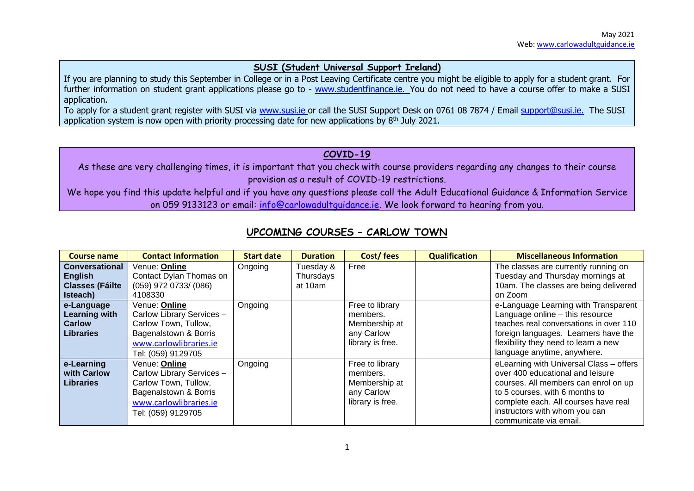#### **SUSI (Student Universal Support Ireland)**

If you are planning to study this September in College or in a Post Leaving Certificate centre you might be eligible to apply for a student grant. For further information on student grant applications please go to - [www.studentfinance.ie.](http://www.studentfinance.ie/) You do not need to have a course offer to make a SUSI application.

To apply for a student grant register with SUSI via [www.susi.ie](http://www.susi.ie/) or call the SUSI Support Desk on 0761 08 7874 / Email [support@susi.ie.](mailto:support@susi.ie) The SUSI application system is now open with priority processing date for new applications by  $8<sup>th</sup>$  July 2021.

### **COVID-19**

As these are very challenging times, it is important that you check with course providers regarding any changes to their course provision as a result of COVID-19 restrictions.

We hope you find this update helpful and if you have any questions please call the Adult Educational Guidance & Information Service on 059 9133123 or email: [info@carlowadultguidance.ie.](mailto:info@carlowadultguidance.ie) We look forward to hearing from you.

| <b>Course name</b>      | <b>Contact Information</b> | <b>Start date</b> | <b>Duration</b> | Cost/fees        | <b>Qualification</b> | <b>Miscellaneous Information</b>        |
|-------------------------|----------------------------|-------------------|-----------------|------------------|----------------------|-----------------------------------------|
| <b>Conversational</b>   | Venue: Online              | Ongoing           | Tuesday &       | Free             |                      | The classes are currently running on    |
| <b>English</b>          | Contact Dylan Thomas on    |                   | Thursdays       |                  |                      | Tuesday and Thursday mornings at        |
| <b>Classes (Fáilte)</b> | $(059)$ 972 0733/ $(086)$  |                   | at 10am         |                  |                      | 10am. The classes are being delivered   |
| Isteach)                | 4108330                    |                   |                 |                  |                      | on Zoom                                 |
| e-Language              | Venue: Online              | Ongoing           |                 | Free to library  |                      | e-Language Learning with Transparent    |
| <b>Learning with</b>    | Carlow Library Services -  |                   |                 | members.         |                      | Language online - this resource         |
| <b>Carlow</b>           | Carlow Town, Tullow,       |                   |                 | Membership at    |                      | teaches real conversations in over 110  |
| <b>Libraries</b>        | Bagenalstown & Borris      |                   |                 | any Carlow       |                      | foreign languages. Learners have the    |
|                         | www.carlowlibraries.ie     |                   |                 | library is free. |                      | flexibility they need to learn a new    |
|                         | Tel: (059) 9129705         |                   |                 |                  |                      | language anytime, anywhere.             |
| e-Learning              | Venue: Online              | Ongoing           |                 | Free to library  |                      | eLearning with Universal Class - offers |
| with Carlow             | Carlow Library Services -  |                   |                 | members.         |                      | over 400 educational and leisure        |
| <b>Libraries</b>        | Carlow Town, Tullow,       |                   |                 | Membership at    |                      | courses. All members can enrol on up    |
|                         | Bagenalstown & Borris      |                   |                 | any Carlow       |                      | to 5 courses, with 6 months to          |
|                         | www.carlowlibraries.ie     |                   |                 | library is free. |                      | complete each. All courses have real    |
|                         | Tel: (059) 9129705         |                   |                 |                  |                      | instructors with whom you can           |
|                         |                            |                   |                 |                  |                      | communicate via email.                  |

# **UPCOMING COURSES – CARLOW TOWN**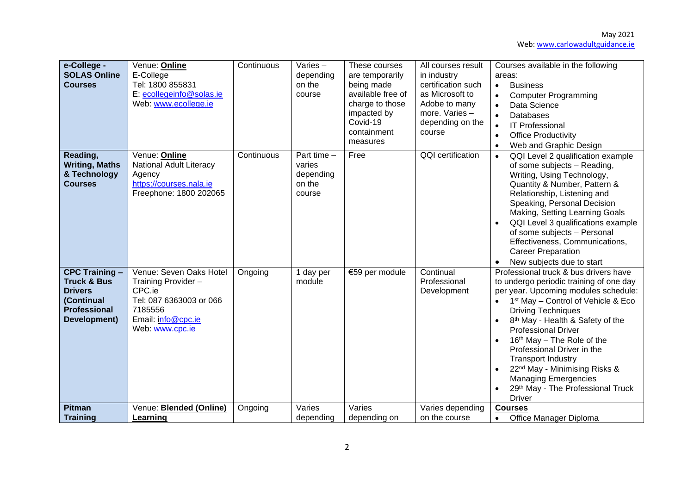May 2021 Web[: www.carlowadultguidance.ie](http://www.carlowadultguidance.ie/)

| e-College -<br><b>SOLAS Online</b><br><b>Courses</b>                                                                   | Venue: Online<br>E-College<br>Tel: 1800 855831<br>E: ecollegeinfo@solas.ie<br>Web: www.ecollege.ie                                      | Continuous | Varies $-$<br>depending<br>on the<br>course              | These courses<br>are temporarily<br>being made<br>available free of<br>charge to those<br>impacted by<br>Covid-19<br>containment<br>measures | All courses result<br>in industry<br>certification such<br>as Microsoft to<br>Adobe to many<br>more. Varies-<br>depending on the<br>course | Courses available in the following<br>areas:<br><b>Business</b><br>$\bullet$<br><b>Computer Programming</b><br>$\bullet$<br>Data Science<br>$\bullet$<br><b>Databases</b><br>$\bullet$<br><b>IT Professional</b><br>$\bullet$<br><b>Office Productivity</b><br>$\bullet$<br>Web and Graphic Design<br>$\bullet$                                                                                                                                                                                                    |
|------------------------------------------------------------------------------------------------------------------------|-----------------------------------------------------------------------------------------------------------------------------------------|------------|----------------------------------------------------------|----------------------------------------------------------------------------------------------------------------------------------------------|--------------------------------------------------------------------------------------------------------------------------------------------|--------------------------------------------------------------------------------------------------------------------------------------------------------------------------------------------------------------------------------------------------------------------------------------------------------------------------------------------------------------------------------------------------------------------------------------------------------------------------------------------------------------------|
| Reading,<br><b>Writing, Maths</b><br>& Technology<br><b>Courses</b>                                                    | Venue: Online<br>National Adult Literacy<br>Agency<br>https://courses.nala.ie<br>Freephone: 1800 202065                                 | Continuous | Part time $-$<br>varies<br>depending<br>on the<br>course | Free                                                                                                                                         | QQI certification                                                                                                                          | QQI Level 2 qualification example<br>$\bullet$<br>of some subjects - Reading,<br>Writing, Using Technology,<br>Quantity & Number, Pattern &<br>Relationship, Listening and<br>Speaking, Personal Decision<br>Making, Setting Learning Goals<br>QQI Level 3 qualifications example<br>of some subjects - Personal<br>Effectiveness, Communications,<br><b>Career Preparation</b><br>New subjects due to start                                                                                                       |
| <b>CPC Training -</b><br><b>Truck &amp; Bus</b><br><b>Drivers</b><br>(Continual<br><b>Professional</b><br>Development) | Venue: Seven Oaks Hotel<br>Training Provider -<br>CPC.ie<br>Tel: 087 6363003 or 066<br>7185556<br>Email: info@cpc.ie<br>Web: www.cpc.ie | Ongoing    | 1 day per<br>module                                      | €59 per module                                                                                                                               | Continual<br>Professional<br>Development                                                                                                   | Professional truck & bus drivers have<br>to undergo periodic training of one day<br>per year. Upcoming modules schedule:<br>1 <sup>st</sup> May - Control of Vehicle & Eco<br><b>Driving Techniques</b><br>8 <sup>th</sup> May - Health & Safety of the<br><b>Professional Driver</b><br>$16th$ May – The Role of the<br>Professional Driver in the<br><b>Transport Industry</b><br>22 <sup>nd</sup> May - Minimising Risks &<br><b>Managing Emergencies</b><br>29th May - The Professional Truck<br><b>Driver</b> |
| <b>Pitman</b><br><b>Training</b>                                                                                       | Venue: <b>Blended (Online)</b><br>Learning                                                                                              | Ongoing    | Varies<br>depending                                      | Varies<br>depending on                                                                                                                       | Varies depending<br>on the course                                                                                                          | <b>Courses</b><br>Office Manager Diploma<br>$\bullet$                                                                                                                                                                                                                                                                                                                                                                                                                                                              |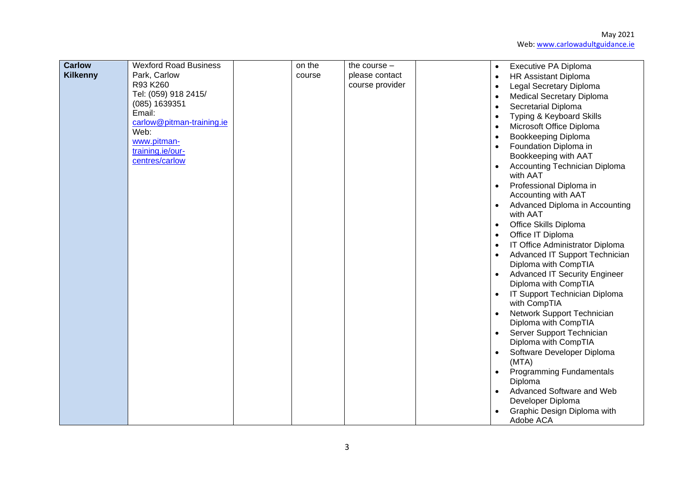| <b>Carlow</b><br><b>Kilkenny</b> | <b>Wexford Road Business</b><br>Park, Carlow<br>R93 K260<br>Tel: (059) 918 2415/<br>(085) 1639351<br>Email:<br>carlow@pitman-training.ie<br>Web:<br>www.pitman-<br>training.ie/our-<br>centres/carlow | on the<br>course | the course $-$<br>please contact<br>course provider | Executive PA Diploma<br>$\bullet$<br>HR Assistant Diploma<br>$\bullet$<br>Legal Secretary Diploma<br>$\bullet$<br><b>Medical Secretary Diploma</b><br>$\bullet$<br>Secretarial Diploma<br>$\bullet$<br>Typing & Keyboard Skills<br>$\bullet$<br>Microsoft Office Diploma<br>$\bullet$<br>Bookkeeping Diploma<br>$\bullet$<br>Foundation Diploma in<br>$\bullet$<br>Bookkeeping with AAT<br><b>Accounting Technician Diploma</b><br>$\bullet$<br>with AAT<br>Professional Diploma in<br>$\bullet$<br>Accounting with AAT<br>Advanced Diploma in Accounting<br>$\bullet$<br>with AAT<br>Office Skills Diploma<br>$\bullet$<br>Office IT Diploma<br>$\bullet$<br>IT Office Administrator Diploma<br>$\bullet$<br>Advanced IT Support Technician<br>$\bullet$<br>Diploma with CompTIA<br><b>Advanced IT Security Engineer</b><br>$\bullet$<br>Diploma with CompTIA<br>IT Support Technician Diploma<br>$\bullet$<br>with CompTIA<br>Network Support Technician<br>$\bullet$<br>Diploma with CompTIA<br>Server Support Technician<br>$\bullet$<br>Diploma with CompTIA<br>Software Developer Diploma<br>$\bullet$<br>(MTA)<br><b>Programming Fundamentals</b><br>Diploma |
|----------------------------------|-------------------------------------------------------------------------------------------------------------------------------------------------------------------------------------------------------|------------------|-----------------------------------------------------|---------------------------------------------------------------------------------------------------------------------------------------------------------------------------------------------------------------------------------------------------------------------------------------------------------------------------------------------------------------------------------------------------------------------------------------------------------------------------------------------------------------------------------------------------------------------------------------------------------------------------------------------------------------------------------------------------------------------------------------------------------------------------------------------------------------------------------------------------------------------------------------------------------------------------------------------------------------------------------------------------------------------------------------------------------------------------------------------------------------------------------------------------------------------|
|                                  |                                                                                                                                                                                                       |                  |                                                     | Advanced Software and Web<br>$\bullet$<br>Developer Diploma<br>Graphic Design Diploma with<br>Adobe ACA                                                                                                                                                                                                                                                                                                                                                                                                                                                                                                                                                                                                                                                                                                                                                                                                                                                                                                                                                                                                                                                             |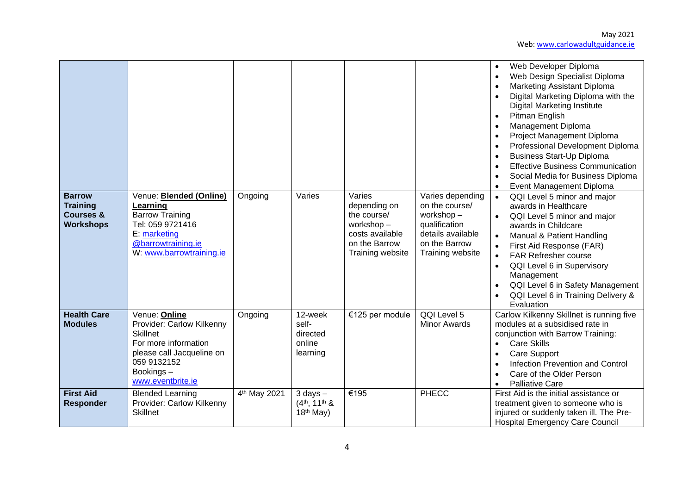

| <b>Barrow</b><br><b>Training</b><br><b>Courses &amp;</b><br><b>Workshops</b> | Venue: <b>Blended (Online)</b><br>Learning<br><b>Barrow Training</b><br>Tel: 059 9721416<br>E: marketing<br>@barrowtraining.ie<br>W: www.barrowtraining.ie          | Ongoing                  | Varies                                                  | Varies<br>depending on<br>the course/<br>workshop-<br>costs available<br>on the Barrow<br>Training website | Varies depending<br>on the course/<br>workshop-<br>qualification<br>details available<br>on the Barrow<br>Training website | Web Developer Diploma<br>Web Design Specialist Diploma<br>Marketing Assistant Diploma<br>Digital Marketing Diploma with the<br><b>Digital Marketing Institute</b><br>Pitman English<br>Management Diploma<br>Project Management Diploma<br>Professional Development Diploma<br><b>Business Start-Up Diploma</b><br><b>Effective Business Communication</b><br>Social Media for Business Diploma<br>Event Management Diploma<br>QQI Level 5 minor and major<br>awards in Healthcare<br>QQI Level 5 minor and major<br>awards in Childcare<br>Manual & Patient Handling<br>First Aid Response (FAR)<br><b>FAR Refresher course</b><br>QQI Level 6 in Supervisory<br>$\bullet$<br>Management |
|------------------------------------------------------------------------------|---------------------------------------------------------------------------------------------------------------------------------------------------------------------|--------------------------|---------------------------------------------------------|------------------------------------------------------------------------------------------------------------|----------------------------------------------------------------------------------------------------------------------------|-------------------------------------------------------------------------------------------------------------------------------------------------------------------------------------------------------------------------------------------------------------------------------------------------------------------------------------------------------------------------------------------------------------------------------------------------------------------------------------------------------------------------------------------------------------------------------------------------------------------------------------------------------------------------------------------|
|                                                                              |                                                                                                                                                                     |                          |                                                         |                                                                                                            |                                                                                                                            | QQI Level 6 in Safety Management<br>QQI Level 6 in Training Delivery &<br>Evaluation                                                                                                                                                                                                                                                                                                                                                                                                                                                                                                                                                                                                      |
| <b>Health Care</b><br><b>Modules</b>                                         | Venue: Online<br>Provider: Carlow Kilkenny<br><b>Skillnet</b><br>For more information<br>please call Jacqueline on<br>059 9132152<br>Bookings-<br>www.eventbrite.ie | Ongoing                  | 12-week<br>self-<br>directed<br>online<br>learning      | €125 per module                                                                                            | QQI Level 5<br><b>Minor Awards</b>                                                                                         | Carlow Kilkenny Skillnet is running five<br>modules at a subsidised rate in<br>conjunction with Barrow Training:<br><b>Care Skills</b><br><b>Care Support</b><br>Infection Prevention and Control<br>Care of the Older Person<br><b>Palliative Care</b>                                                                                                                                                                                                                                                                                                                                                                                                                                   |
| <b>First Aid</b><br><b>Responder</b>                                         | <b>Blended Learning</b><br>Provider: Carlow Kilkenny<br><b>Skillnet</b>                                                                                             | 4 <sup>th</sup> May 2021 | $3$ days $-$<br>$(4th, 11th$ &<br>18 <sup>th</sup> May) | €195                                                                                                       | <b>PHECC</b>                                                                                                               | First Aid is the initial assistance or<br>treatment given to someone who is<br>injured or suddenly taken ill. The Pre-<br><b>Hospital Emergency Care Council</b>                                                                                                                                                                                                                                                                                                                                                                                                                                                                                                                          |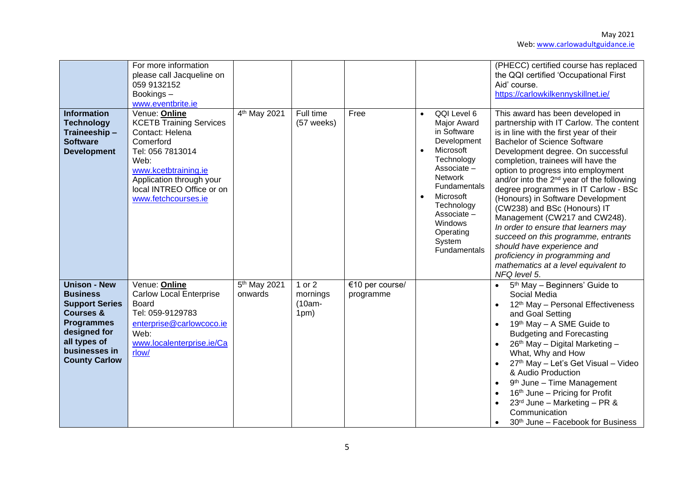| <b>Information</b><br><b>Technology</b><br>Traineeship-<br><b>Software</b><br><b>Development</b>                                                                                      | For more information<br>please call Jacqueline on<br>059 9132152<br>Bookings-<br>www.eventbrite.ie<br>Venue: Online<br><b>KCETB Training Services</b><br>Contact: Helena<br>Comerford<br>Tel: 056 7813014<br>Web:<br>www.kcetbtraining.ie<br>Application through your<br>local INTREO Office or on<br>www.fetchcourses.ie | 4 <sup>th</sup> May 2021            | Full time<br>(57 weeks)                | Free                         | $\bullet$<br>$\bullet$<br>$\bullet$ | QQI Level 6<br><b>Major Award</b><br>in Software<br>Development<br>Microsoft<br>Technology<br>Associate -<br><b>Network</b><br>Fundamentals<br>Microsoft<br>Technology<br>Associate-<br>Windows<br>Operating<br>System<br>Fundamentals | (PHECC) certified course has replaced<br>the QQI certified 'Occupational First<br>Aid' course.<br>https://carlowkilkennyskillnet.ie/<br>This award has been developed in<br>partnership with IT Carlow. The content<br>is in line with the first year of their<br><b>Bachelor of Science Software</b><br>Development degree. On successful<br>completion, trainees will have the<br>option to progress into employment<br>and/or into the 2 <sup>nd</sup> year of the following<br>degree programmes in IT Carlow - BSc<br>(Honours) in Software Development<br>(CW238) and BSc (Honours) IT<br>Management (CW217 and CW248).<br>In order to ensure that learners may<br>succeed on this programme, entrants<br>should have experience and<br>proficiency in programming and<br>mathematics at a level equivalent to<br>NFQ level 5. |
|---------------------------------------------------------------------------------------------------------------------------------------------------------------------------------------|---------------------------------------------------------------------------------------------------------------------------------------------------------------------------------------------------------------------------------------------------------------------------------------------------------------------------|-------------------------------------|----------------------------------------|------------------------------|-------------------------------------|----------------------------------------------------------------------------------------------------------------------------------------------------------------------------------------------------------------------------------------|--------------------------------------------------------------------------------------------------------------------------------------------------------------------------------------------------------------------------------------------------------------------------------------------------------------------------------------------------------------------------------------------------------------------------------------------------------------------------------------------------------------------------------------------------------------------------------------------------------------------------------------------------------------------------------------------------------------------------------------------------------------------------------------------------------------------------------------|
| <b>Unison - New</b><br><b>Business</b><br><b>Support Series</b><br><b>Courses &amp;</b><br><b>Programmes</b><br>designed for<br>all types of<br>businesses in<br><b>County Carlow</b> | Venue: Online<br>Carlow Local Enterprise<br>Board<br>Tel: 059-9129783<br>enterprise@carlowcoco.ie<br>Web:<br>www.localenterprise.ie/Ca<br>rlow/                                                                                                                                                                           | 5 <sup>th</sup> May 2021<br>onwards | 1 or $2$<br>mornings<br>(10am-<br>1pm) | €10 per course/<br>programme |                                     |                                                                                                                                                                                                                                        | 5 <sup>th</sup> May - Beginners' Guide to<br>Social Media<br>12th May - Personal Effectiveness<br>and Goal Setting<br>19th May - A SME Guide to<br><b>Budgeting and Forecasting</b><br>26 <sup>th</sup> May - Digital Marketing -<br>What, Why and How<br>27th May - Let's Get Visual - Video<br>& Audio Production<br>9 <sup>th</sup> June - Time Management<br>16th June - Pricing for Profit<br>23rd June - Marketing - PR &<br>Communication<br>30 <sup>th</sup> June - Facebook for Business                                                                                                                                                                                                                                                                                                                                    |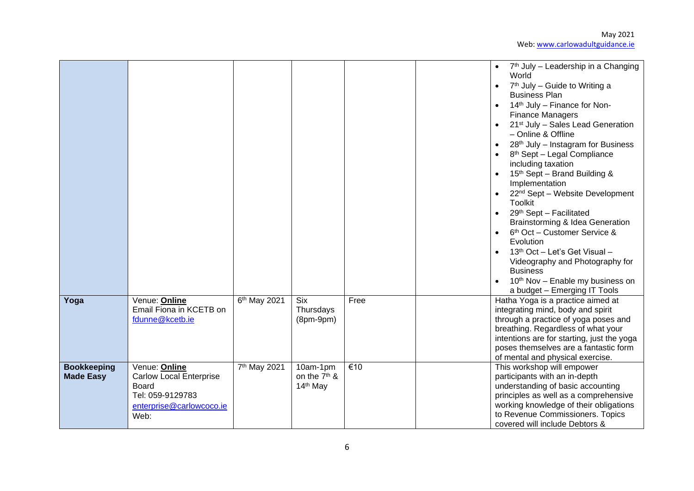|                                        |                                                                                                                  |                          |                                                              |                  | 7 <sup>th</sup> July – Leadership in a Changing<br>World<br>$7th$ July – Guide to Writing a<br><b>Business Plan</b><br>14th July - Finance for Non-<br><b>Finance Managers</b><br>21 <sup>st</sup> July - Sales Lead Generation<br>- Online & Offline<br>28 <sup>th</sup> July - Instagram for Business<br>8 <sup>th</sup> Sept - Legal Compliance<br>including taxation<br>15th Sept - Brand Building &<br>Implementation<br>22 <sup>nd</sup> Sept - Website Development<br>$\bullet$<br>Toolkit<br>29th Sept - Facilitated<br>$\bullet$<br>Brainstorming & Idea Generation<br>6 <sup>th</sup> Oct - Customer Service &<br>$\bullet$<br>Evolution<br>13 <sup>th</sup> Oct - Let's Get Visual -<br>Videography and Photography for<br><b>Business</b><br>10 <sup>th</sup> Nov - Enable my business on |
|----------------------------------------|------------------------------------------------------------------------------------------------------------------|--------------------------|--------------------------------------------------------------|------------------|-------------------------------------------------------------------------------------------------------------------------------------------------------------------------------------------------------------------------------------------------------------------------------------------------------------------------------------------------------------------------------------------------------------------------------------------------------------------------------------------------------------------------------------------------------------------------------------------------------------------------------------------------------------------------------------------------------------------------------------------------------------------------------------------------------|
| Yoga                                   | Venue: Online                                                                                                    | 6 <sup>th</sup> May 2021 | Six                                                          | Free             | a budget - Emerging IT Tools<br>Hatha Yoga is a practice aimed at                                                                                                                                                                                                                                                                                                                                                                                                                                                                                                                                                                                                                                                                                                                                     |
|                                        | Email Fiona in KCETB on<br>fdunne@kcetb.ie                                                                       |                          | Thursdays<br>$(8pm-9pm)$                                     |                  | integrating mind, body and spirit<br>through a practice of yoga poses and<br>breathing. Regardless of what your<br>intentions are for starting, just the yoga<br>poses themselves are a fantastic form<br>of mental and physical exercise.                                                                                                                                                                                                                                                                                                                                                                                                                                                                                                                                                            |
| <b>Bookkeeping</b><br><b>Made Easy</b> | Venue: Online<br><b>Carlow Local Enterprise</b><br>Board<br>Tel: 059-9129783<br>enterprise@carlowcoco.ie<br>Web: | 7 <sup>th</sup> May 2021 | 10am-1pm<br>on the 7 <sup>th</sup> &<br>14 <sup>th</sup> May | $\overline{€10}$ | This workshop will empower<br>participants with an in-depth<br>understanding of basic accounting<br>principles as well as a comprehensive<br>working knowledge of their obligations<br>to Revenue Commissioners. Topics<br>covered will include Debtors &                                                                                                                                                                                                                                                                                                                                                                                                                                                                                                                                             |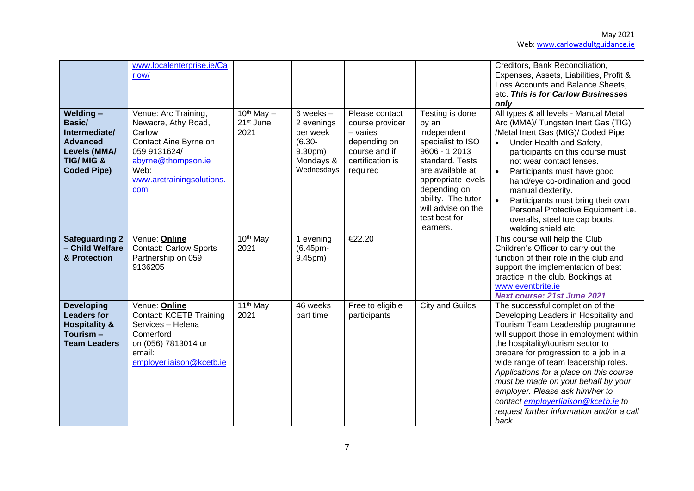|                                                                                                                      | www.localenterprise.ie/Ca<br>rlow/                                                                                                                               |                                                    |                                                                                          |                                                                                                                  |                                                                                                                                                                                                                                      | Creditors, Bank Reconciliation,<br>Expenses, Assets, Liabilities, Profit &<br>Loss Accounts and Balance Sheets,<br>etc. This is for Carlow Businesses<br>only.                                                                                                                                                                                                                                                                                                                                    |
|----------------------------------------------------------------------------------------------------------------------|------------------------------------------------------------------------------------------------------------------------------------------------------------------|----------------------------------------------------|------------------------------------------------------------------------------------------|------------------------------------------------------------------------------------------------------------------|--------------------------------------------------------------------------------------------------------------------------------------------------------------------------------------------------------------------------------------|---------------------------------------------------------------------------------------------------------------------------------------------------------------------------------------------------------------------------------------------------------------------------------------------------------------------------------------------------------------------------------------------------------------------------------------------------------------------------------------------------|
| Welding-<br>Basic/<br>Intermediate/<br><b>Advanced</b><br>Levels (MMA/<br><b>TIG/MIG &amp;</b><br><b>Coded Pipe)</b> | Venue: Arc Training,<br>Newacre, Athy Road,<br>Carlow<br>Contact Aine Byrne on<br>059 9131624/<br>abyrne@thompson.ie<br>Web:<br>www.arctrainingsolutions.<br>com | $10^{th}$ May $-$<br>21 <sup>st</sup> June<br>2021 | 6 weeks $-$<br>2 evenings<br>per week<br>$(6.30 -$<br>9.30pm)<br>Mondays &<br>Wednesdays | Please contact<br>course provider<br>$-$ varies<br>depending on<br>course and if<br>certification is<br>required | Testing is done<br>by an<br>independent<br>specialist to ISO<br>9606 - 1 2013<br>standard. Tests<br>are available at<br>appropriate levels<br>depending on<br>ability. The tutor<br>will advise on the<br>test best for<br>learners. | All types & all levels - Manual Metal<br>Arc (MMA)/ Tungsten Inert Gas (TIG)<br>/Metal Inert Gas (MIG)/ Coded Pipe<br>Under Health and Safety,<br>participants on this course must<br>not wear contact lenses.<br>Participants must have good<br>$\bullet$<br>hand/eye co-ordination and good<br>manual dexterity.<br>Participants must bring their own<br>$\bullet$<br>Personal Protective Equipment i.e.<br>overalls, steel toe cap boots,<br>welding shield etc.                               |
| <b>Safeguarding 2</b><br>- Child Welfare<br>& Protection                                                             | Venue: Online<br><b>Contact: Carlow Sports</b><br>Partnership on 059<br>9136205                                                                                  | 10 <sup>th</sup> May<br>2021                       | 1 evening<br>(6.45pm-<br>9.45pm)                                                         | €22.20                                                                                                           |                                                                                                                                                                                                                                      | This course will help the Club<br>Children's Officer to carry out the<br>function of their role in the club and<br>support the implementation of best<br>practice in the club. Bookings at<br>www.eventbrite.ie<br><b>Next course: 21st June 2021</b>                                                                                                                                                                                                                                             |
| <b>Developing</b><br><b>Leaders for</b><br><b>Hospitality &amp;</b><br>Tourism-<br><b>Team Leaders</b>               | Venue: <b>Online</b><br>Contact: KCETB Training<br>Services - Helena<br>Comerford<br>on (056) 7813014 or<br>email:<br>employerliaison@kcetb.ie                   | 11 <sup>th</sup> May<br>2021                       | 46 weeks<br>part time                                                                    | Free to eligible<br>participants                                                                                 | City and Guilds                                                                                                                                                                                                                      | The successful completion of the<br>Developing Leaders in Hospitality and<br>Tourism Team Leadership programme<br>will support those in employment within<br>the hospitality/tourism sector to<br>prepare for progression to a job in a<br>wide range of team leadership roles.<br>Applications for a place on this course<br>must be made on your behalf by your<br>employer. Please ask him/her to<br>contact employerliaison@kcetb.ie to<br>request further information and/or a call<br>back. |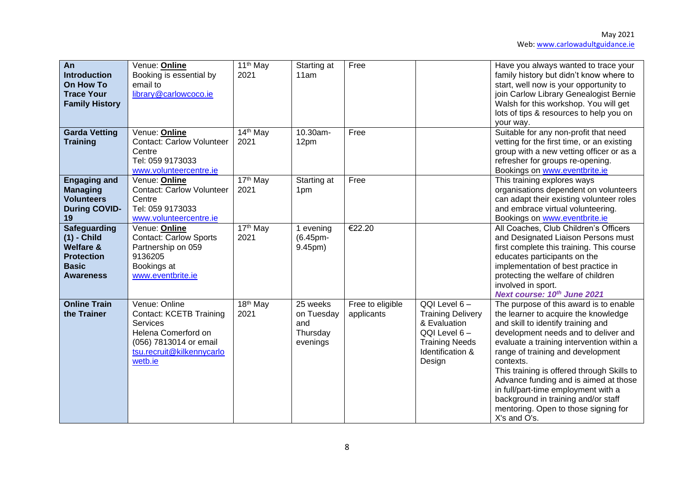| An<br><b>Introduction</b><br>On How To<br><b>Trace Your</b><br><b>Family History</b>                                  | Venue: Online<br>Booking is essential by<br>email to<br>library@carlowcoco.ie                                                                        | 11 <sup>th</sup> May<br>2021 | Starting at<br>11am                                   | Free                           |                                                                                                                                 | Have you always wanted to trace your<br>family history but didn't know where to<br>start, well now is your opportunity to<br>join Carlow Library Genealogist Bernie<br>Walsh for this workshop. You will get<br>lots of tips & resources to help you on<br>your way.                                                                                                                                                                                                                     |
|-----------------------------------------------------------------------------------------------------------------------|------------------------------------------------------------------------------------------------------------------------------------------------------|------------------------------|-------------------------------------------------------|--------------------------------|---------------------------------------------------------------------------------------------------------------------------------|------------------------------------------------------------------------------------------------------------------------------------------------------------------------------------------------------------------------------------------------------------------------------------------------------------------------------------------------------------------------------------------------------------------------------------------------------------------------------------------|
| <b>Garda Vetting</b><br><b>Training</b>                                                                               | Venue: Online<br><b>Contact: Carlow Volunteer</b><br>Centre<br>Tel: 059 9173033<br>www.volunteercentre.ie                                            | 14 <sup>th</sup> May<br>2021 | 10.30am-<br>12pm                                      | Free                           |                                                                                                                                 | Suitable for any non-profit that need<br>vetting for the first time, or an existing<br>group with a new vetting officer or as a<br>refresher for groups re-opening.<br>Bookings on www.eventbrite.ie                                                                                                                                                                                                                                                                                     |
| <b>Engaging and</b><br><b>Managing</b><br><b>Volunteers</b><br><b>During COVID-</b><br>19                             | Venue: <b>Online</b><br><b>Contact: Carlow Volunteer</b><br>Centre<br>Tel: 059 9173033<br>www.volunteercentre.ie                                     | 17th May<br>2021             | Starting at<br>1pm                                    | Free                           |                                                                                                                                 | This training explores ways<br>organisations dependent on volunteers<br>can adapt their existing volunteer roles<br>and embrace virtual volunteering.<br>Bookings on www.eventbrite.ie                                                                                                                                                                                                                                                                                                   |
| <b>Safeguarding</b><br>$(1)$ - Child<br><b>Welfare &amp;</b><br><b>Protection</b><br><b>Basic</b><br><b>Awareness</b> | Venue: Online<br><b>Contact: Carlow Sports</b><br>Partnership on 059<br>9136205<br>Bookings at<br>www.eventbrite.ie                                  | 17 <sup>th</sup> May<br>2021 | 1 evening<br>(6.45pm-<br>9.45pm)                      | €22.20                         |                                                                                                                                 | All Coaches, Club Children's Officers<br>and Designated Liaison Persons must<br>first complete this training. This course<br>educates participants on the<br>implementation of best practice in<br>protecting the welfare of children<br>involved in sport.<br>Next course: 10th June 2021                                                                                                                                                                                               |
| <b>Online Train</b><br>the Trainer                                                                                    | Venue: Online<br><b>Contact: KCETB Training</b><br>Services<br>Helena Comerford on<br>(056) 7813014 or email<br>tsu.recruit@kilkennycarlo<br>wetb.ie | 18 <sup>th</sup> May<br>2021 | 25 weeks<br>on Tuesday<br>and<br>Thursday<br>evenings | Free to eligible<br>applicants | QQI Level 6-<br><b>Training Delivery</b><br>& Evaluation<br>QQI Level 6-<br><b>Training Needs</b><br>Identification &<br>Design | The purpose of this award is to enable<br>the learner to acquire the knowledge<br>and skill to identify training and<br>development needs and to deliver and<br>evaluate a training intervention within a<br>range of training and development<br>contexts.<br>This training is offered through Skills to<br>Advance funding and is aimed at those<br>in full/part-time employment with a<br>background in training and/or staff<br>mentoring. Open to those signing for<br>X's and O's. |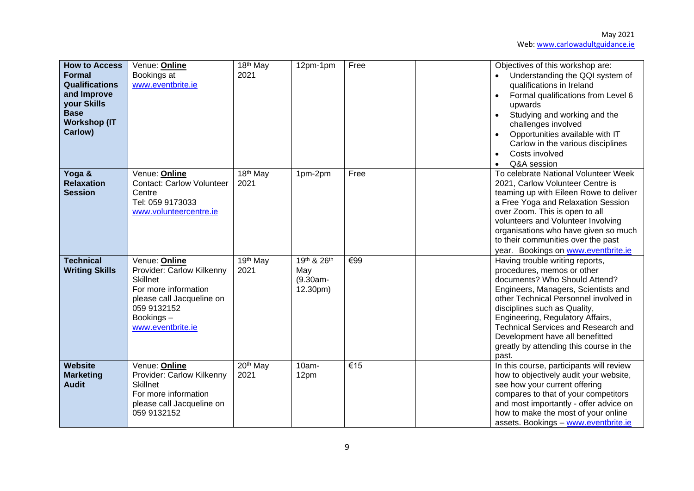| <b>How to Access</b><br><b>Formal</b><br><b>Qualifications</b><br>and Improve<br>your Skills<br><b>Base</b><br><b>Workshop (IT</b><br>Carlow) | Venue: Online<br>Bookings at<br>www.eventbrite.ie                                                                                                                   | 18 <sup>th</sup> May<br>2021 | 12pm-1pm                                      | Free                     | Objectives of this workshop are:<br>Understanding the QQI system of<br>qualifications in Ireland<br>Formal qualifications from Level 6<br>upwards<br>Studying and working and the<br>challenges involved<br>Opportunities available with IT<br>Carlow in the various disciplines<br>Costs involved<br>Q&A session                                                                       |
|-----------------------------------------------------------------------------------------------------------------------------------------------|---------------------------------------------------------------------------------------------------------------------------------------------------------------------|------------------------------|-----------------------------------------------|--------------------------|-----------------------------------------------------------------------------------------------------------------------------------------------------------------------------------------------------------------------------------------------------------------------------------------------------------------------------------------------------------------------------------------|
| Yoga &<br><b>Relaxation</b><br><b>Session</b>                                                                                                 | Venue: Online<br><b>Contact: Carlow Volunteer</b><br>Centre<br>Tel: 059 9173033<br>www.volunteercentre.ie                                                           | 18 <sup>th</sup> May<br>2021 | 1pm-2pm                                       | Free                     | To celebrate National Volunteer Week<br>2021, Carlow Volunteer Centre is<br>teaming up with Eileen Rowe to deliver<br>a Free Yoga and Relaxation Session<br>over Zoom. This is open to all<br>volunteers and Volunteer Involving<br>organisations who have given so much<br>to their communities over the past<br>year. Bookings on www.eventbrite.ie                                   |
| <b>Technical</b><br><b>Writing Skills</b>                                                                                                     | Venue: Online<br>Provider: Carlow Kilkenny<br><b>Skillnet</b><br>For more information<br>please call Jacqueline on<br>059 9132152<br>Bookings-<br>www.eventbrite.ie | 19 <sup>th</sup> May<br>2021 | 19th & 26th<br>May<br>$(9.30am -$<br>12.30pm) | $\overline{\epsilon}$ 99 | Having trouble writing reports,<br>procedures, memos or other<br>documents? Who Should Attend?<br>Engineers, Managers, Scientists and<br>other Technical Personnel involved in<br>disciplines such as Quality,<br>Engineering, Regulatory Affairs,<br><b>Technical Services and Research and</b><br>Development have all benefitted<br>greatly by attending this course in the<br>past. |
| <b>Website</b><br><b>Marketing</b><br><b>Audit</b>                                                                                            | Venue: Online<br>Provider: Carlow Kilkenny<br><b>Skillnet</b><br>For more information<br>please call Jacqueline on<br>059 9132152                                   | $20th$ May<br>2021           | 10am-<br>12pm                                 | €15                      | In this course, participants will review<br>how to objectively audit your website,<br>see how your current offering<br>compares to that of your competitors<br>and most importantly - offer advice on<br>how to make the most of your online<br>assets. Bookings - www.eventbrite.ie                                                                                                    |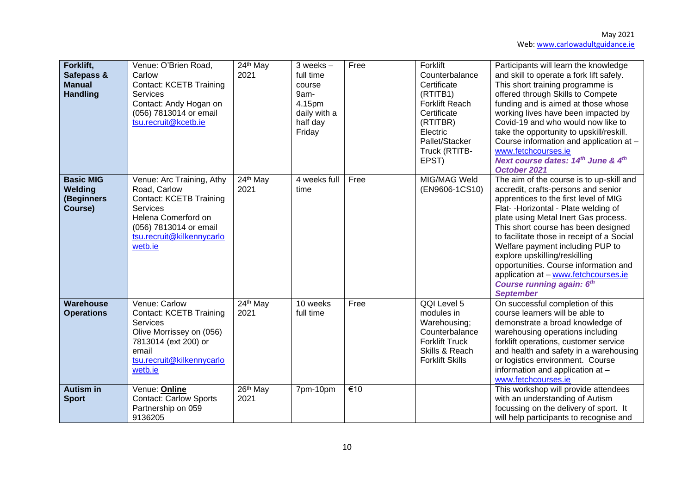| Forklift,<br>Safepass &<br><b>Manual</b><br><b>Handling</b> | Venue: O'Brien Road,<br>Carlow<br><b>Contact: KCETB Training</b><br><b>Services</b><br>Contact: Andy Hogan on<br>(056) 7813014 or email<br>tsu.recruit@kcetb.ie                         | $24th$ May<br>2021 | $3$ weeks $-$<br>full time<br>course<br>9am-<br>4.15pm<br>daily with a<br>half day<br>Friday | Free | Forklift<br>Counterbalance<br>Certificate<br>(RTITB1)<br><b>Forklift Reach</b><br>Certificate<br>(RTITBR)<br>Electric<br>Pallet/Stacker | Participants will learn the knowledge<br>and skill to operate a fork lift safely.<br>This short training programme is<br>offered through Skills to Compete<br>funding and is aimed at those whose<br>working lives have been impacted by<br>Covid-19 and who would now like to<br>take the opportunity to upskill/reskill.<br>Course information and application at -                                                                                                                                        |
|-------------------------------------------------------------|-----------------------------------------------------------------------------------------------------------------------------------------------------------------------------------------|--------------------|----------------------------------------------------------------------------------------------|------|-----------------------------------------------------------------------------------------------------------------------------------------|--------------------------------------------------------------------------------------------------------------------------------------------------------------------------------------------------------------------------------------------------------------------------------------------------------------------------------------------------------------------------------------------------------------------------------------------------------------------------------------------------------------|
|                                                             |                                                                                                                                                                                         |                    |                                                                                              |      | Truck (RTITB-<br>EPST)                                                                                                                  | www.fetchcourses.ie<br>Next course dates: 14th June & 4th<br>October 2021                                                                                                                                                                                                                                                                                                                                                                                                                                    |
| <b>Basic MIG</b><br>Welding<br>(Beginners<br>Course)        | Venue: Arc Training, Athy<br>Road, Carlow<br><b>Contact: KCETB Training</b><br><b>Services</b><br>Helena Comerford on<br>(056) 7813014 or email<br>tsu.recruit@kilkennycarlo<br>wetb.ie | 24th May<br>2021   | 4 weeks full<br>time                                                                         | Free | MIG/MAG Weld<br>(EN9606-1CS10)                                                                                                          | The aim of the course is to up-skill and<br>accredit, crafts-persons and senior<br>apprentices to the first level of MIG<br>Flat- - Horizontal - Plate welding of<br>plate using Metal Inert Gas process.<br>This short course has been designed<br>to facilitate those in receipt of a Social<br>Welfare payment including PUP to<br>explore upskilling/reskilling<br>opportunities. Course information and<br>application at - www.fetchcourses.ie<br><b>Course running again: 6th</b><br><b>September</b> |
| <b>Warehouse</b><br><b>Operations</b>                       | Venue: Carlow<br><b>Contact: KCETB Training</b><br><b>Services</b><br>Olive Morrissey on (056)<br>7813014 (ext 200) or<br>email<br>tsu.recruit@kilkennycarlo<br>wetb.ie                 | 24th May<br>2021   | 10 weeks<br>full time                                                                        | Free | QQI Level 5<br>modules in<br>Warehousing;<br>Counterbalance<br><b>Forklift Truck</b><br>Skills & Reach<br><b>Forklift Skills</b>        | On successful completion of this<br>course learners will be able to<br>demonstrate a broad knowledge of<br>warehousing operations including<br>forklift operations, customer service<br>and health and safety in a warehousing<br>or logistics environment. Course<br>information and application at -<br>www.fetchcourses.ie                                                                                                                                                                                |
| <b>Autism in</b><br><b>Sport</b>                            | Venue: Online<br><b>Contact: Carlow Sports</b><br>Partnership on 059<br>9136205                                                                                                         | 26th May<br>2021   | 7pm-10pm                                                                                     | €10  |                                                                                                                                         | This workshop will provide attendees<br>with an understanding of Autism<br>focussing on the delivery of sport. It<br>will help participants to recognise and                                                                                                                                                                                                                                                                                                                                                 |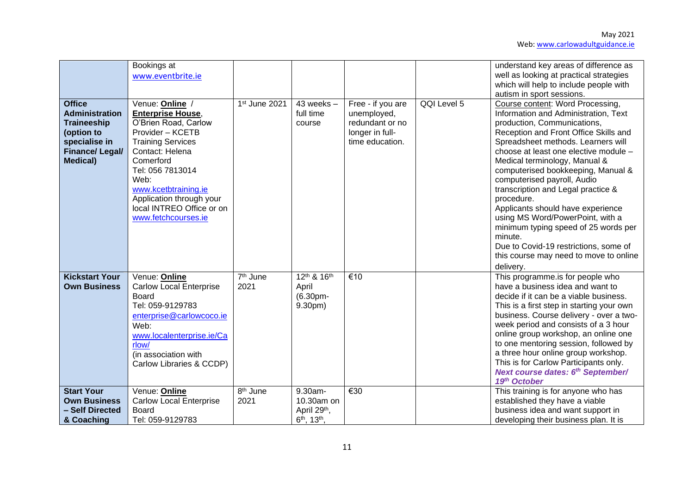| <b>Office</b>                                                                                                           | Bookings at<br>www.eventbrite.ie                                                                                                                                                                                                                                                        |                              | $43$ weeks $-$                                                               |                                                                                           | QQI Level 5 | understand key areas of difference as<br>well as looking at practical strategies<br>which will help to include people with<br>autism in sport sessions.                                                                                                                                                                                                                                                                                                                                                                                                                                                               |
|-------------------------------------------------------------------------------------------------------------------------|-----------------------------------------------------------------------------------------------------------------------------------------------------------------------------------------------------------------------------------------------------------------------------------------|------------------------------|------------------------------------------------------------------------------|-------------------------------------------------------------------------------------------|-------------|-----------------------------------------------------------------------------------------------------------------------------------------------------------------------------------------------------------------------------------------------------------------------------------------------------------------------------------------------------------------------------------------------------------------------------------------------------------------------------------------------------------------------------------------------------------------------------------------------------------------------|
| <b>Administration</b><br><b>Traineeship</b><br>(option to<br>specialise in<br><b>Finance/Legal/</b><br><b>Medical</b> ) | Venue: Online /<br><b>Enterprise House,</b><br>O'Brien Road, Carlow<br>Provider - KCETB<br><b>Training Services</b><br>Contact: Helena<br>Comerford<br>Tel: 056 7813014<br>Web:<br>www.kcetbtraining.ie<br>Application through your<br>local INTREO Office or on<br>www.fetchcourses.ie | 1st June 2021                | full time<br>course                                                          | Free - if you are<br>unemployed,<br>redundant or no<br>longer in full-<br>time education. |             | Course content: Word Processing,<br>Information and Administration, Text<br>production, Communications,<br>Reception and Front Office Skills and<br>Spreadsheet methods. Learners will<br>choose at least one elective module -<br>Medical terminology, Manual &<br>computerised bookkeeping, Manual &<br>computerised payroll, Audio<br>transcription and Legal practice &<br>procedure.<br>Applicants should have experience<br>using MS Word/PowerPoint, with a<br>minimum typing speed of 25 words per<br>minute.<br>Due to Covid-19 restrictions, some of<br>this course may need to move to online<br>delivery. |
| <b>Kickstart Your</b><br><b>Own Business</b>                                                                            | Venue: Online<br><b>Carlow Local Enterprise</b><br><b>Board</b><br>Tel: 059-9129783<br>enterprise@carlowcoco.ie<br>Web:<br>www.localenterprise.ie/Ca<br>rlow/<br>(in association with<br>Carlow Libraries & CCDP)                                                                       | 7 <sup>th</sup> June<br>2021 | 12th & 16th<br>April<br>$(6.30pm -$<br>9.30pm)                               | €10                                                                                       |             | This programme.is for people who<br>have a business idea and want to<br>decide if it can be a viable business.<br>This is a first step in starting your own<br>business. Course delivery - over a two-<br>week period and consists of a 3 hour<br>online group workshop, an online one<br>to one mentoring session, followed by<br>a three hour online group workshop.<br>This is for Carlow Participants only.<br>Next course dates: 6th September/<br>19th October                                                                                                                                                  |
| <b>Start Your</b><br><b>Own Business</b><br>- Self Directed<br>& Coaching                                               | Venue: Online<br><b>Carlow Local Enterprise</b><br>Board<br>Tel: 059-9129783                                                                                                                                                                                                            | 8 <sup>th</sup> June<br>2021 | 9.30am-<br>10.30am on<br>April 29th,<br>6 <sup>th</sup> , 13 <sup>th</sup> , | €30                                                                                       |             | This training is for anyone who has<br>established they have a viable<br>business idea and want support in<br>developing their business plan. It is                                                                                                                                                                                                                                                                                                                                                                                                                                                                   |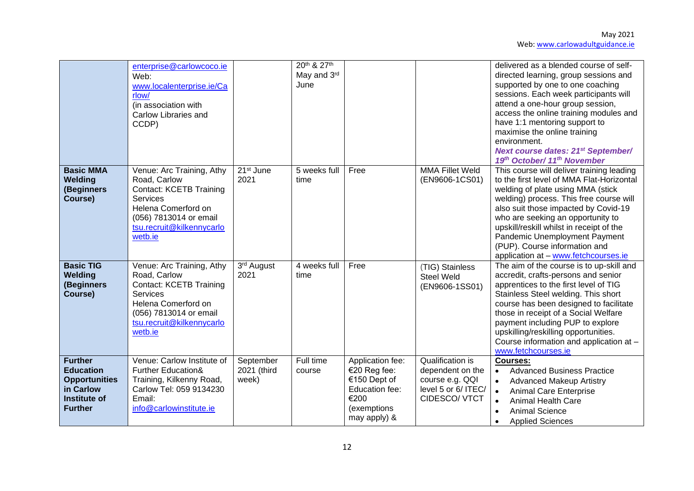|                                                                                                                  | enterprise@carlowcoco.ie<br>Web:<br>www.localenterprise.ie/Ca<br>rlow/<br>(in association with<br>Carlow Libraries and<br>CCDP)                                                         |                                   | 20th & 27th<br>May and 3rd<br>June |                                                                                                           |                                                                                                 | delivered as a blended course of self-<br>directed learning, group sessions and<br>supported by one to one coaching<br>sessions. Each week participants will<br>attend a one-hour group session,<br>access the online training modules and<br>have 1:1 mentoring support to<br>maximise the online training<br>environment.<br><b>Next course dates: 21st September/</b><br>19th October/ 11th November   |
|------------------------------------------------------------------------------------------------------------------|-----------------------------------------------------------------------------------------------------------------------------------------------------------------------------------------|-----------------------------------|------------------------------------|-----------------------------------------------------------------------------------------------------------|-------------------------------------------------------------------------------------------------|-----------------------------------------------------------------------------------------------------------------------------------------------------------------------------------------------------------------------------------------------------------------------------------------------------------------------------------------------------------------------------------------------------------|
| <b>Basic MMA</b><br>Welding<br>(Beginners<br>Course)                                                             | Venue: Arc Training, Athy<br>Road, Carlow<br><b>Contact: KCETB Training</b><br>Services<br>Helena Comerford on<br>(056) 7813014 or email<br>tsu.recruit@kilkennycarlo<br>wetb.ie        | 21 <sup>st</sup> June<br>2021     | 5 weeks full<br>time               | Free                                                                                                      | <b>MMA Fillet Weld</b><br>(EN9606-1CS01)                                                        | This course will deliver training leading<br>to the first level of MMA Flat-Horizontal<br>welding of plate using MMA (stick<br>welding) process. This free course will<br>also suit those impacted by Covid-19<br>who are seeking an opportunity to<br>upskill/reskill whilst in receipt of the<br>Pandemic Unemployment Payment<br>(PUP). Course information and<br>application at - www.fetchcourses.ie |
| <b>Basic TIG</b><br>Welding<br>(Beginners<br>Course)                                                             | Venue: Arc Training, Athy<br>Road, Carlow<br><b>Contact: KCETB Training</b><br><b>Services</b><br>Helena Comerford on<br>(056) 7813014 or email<br>tsu.recruit@kilkennycarlo<br>wetb.ie | 3rd August<br>2021                | 4 weeks full<br>time               | Free                                                                                                      | (TIG) Stainless<br><b>Steel Weld</b><br>(EN9606-1SS01)                                          | The aim of the course is to up-skill and<br>accredit, crafts-persons and senior<br>apprentices to the first level of TIG<br>Stainless Steel welding. This short<br>course has been designed to facilitate<br>those in receipt of a Social Welfare<br>payment including PUP to explore<br>upskilling/reskilling opportunities.<br>Course information and application at -<br>www.fetchcourses.ie           |
| <b>Further</b><br><b>Education</b><br><b>Opportunities</b><br>in Carlow<br><b>Institute of</b><br><b>Further</b> | Venue: Carlow Institute of<br><b>Further Education&amp;</b><br>Training, Kilkenny Road,<br>Carlow Tel: 059 9134230<br>Email:<br>info@carlowinstitute.ie                                 | September<br>2021 (third<br>week) | Full time<br>course                | Application fee:<br>€20 Reg fee:<br>€150 Dept of<br>Education fee:<br>€200<br>(exemptions<br>may apply) & | Qualification is<br>dependent on the<br>course e.g. QQI<br>level 5 or 6/ ITEC/<br>CIDESCO/ VTCT | Courses:<br><b>Advanced Business Practice</b><br>$\bullet$<br><b>Advanced Makeup Artistry</b><br>$\bullet$<br><b>Animal Care Enterprise</b><br>$\bullet$<br><b>Animal Health Care</b><br>$\bullet$<br><b>Animal Science</b><br><b>Applied Sciences</b>                                                                                                                                                    |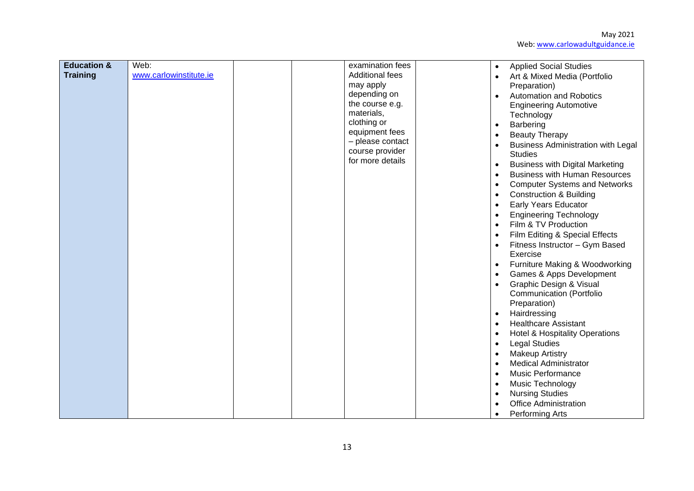| <b>Education &amp;</b><br><b>Training</b> | Web:<br>www.carlowinstitute.ie | examination fees<br><b>Additional fees</b><br>may apply<br>depending on<br>the course e.g.<br>materials,<br>clothing or<br>equipment fees<br>- please contact<br>course provider<br>for more details | <b>Applied Social Studies</b><br>$\bullet$<br>Art & Mixed Media (Portfolio<br>$\bullet$<br>Preparation)<br><b>Automation and Robotics</b><br>$\bullet$<br><b>Engineering Automotive</b><br>Technology<br>Barbering<br>$\bullet$<br><b>Beauty Therapy</b><br>$\bullet$<br><b>Business Administration with Legal</b><br>$\bullet$<br><b>Studies</b><br><b>Business with Digital Marketing</b><br>$\bullet$<br><b>Business with Human Resources</b><br>$\bullet$<br><b>Computer Systems and Networks</b><br>$\bullet$<br><b>Construction &amp; Building</b><br>$\bullet$<br><b>Early Years Educator</b><br>$\bullet$<br><b>Engineering Technology</b><br>$\bullet$<br>Film & TV Production<br>$\bullet$<br>Film Editing & Special Effects<br>$\bullet$<br>Fitness Instructor - Gym Based<br>Exercise<br>Furniture Making & Woodworking<br>$\bullet$<br>Games & Apps Development<br>$\bullet$<br>Graphic Design & Visual<br>$\bullet$<br><b>Communication (Portfolio</b><br>Preparation)<br>Hairdressing<br>$\bullet$<br><b>Healthcare Assistant</b><br>$\bullet$<br><b>Hotel &amp; Hospitality Operations</b><br>$\bullet$<br><b>Legal Studies</b><br>$\bullet$<br><b>Makeup Artistry</b><br>$\bullet$<br><b>Medical Administrator</b><br>$\bullet$<br><b>Music Performance</b><br>$\bullet$<br>Music Technology<br>$\bullet$<br><b>Nursing Studies</b><br>$\bullet$<br><b>Office Administration</b> |
|-------------------------------------------|--------------------------------|------------------------------------------------------------------------------------------------------------------------------------------------------------------------------------------------------|---------------------------------------------------------------------------------------------------------------------------------------------------------------------------------------------------------------------------------------------------------------------------------------------------------------------------------------------------------------------------------------------------------------------------------------------------------------------------------------------------------------------------------------------------------------------------------------------------------------------------------------------------------------------------------------------------------------------------------------------------------------------------------------------------------------------------------------------------------------------------------------------------------------------------------------------------------------------------------------------------------------------------------------------------------------------------------------------------------------------------------------------------------------------------------------------------------------------------------------------------------------------------------------------------------------------------------------------------------------------------------------------------|
|                                           |                                |                                                                                                                                                                                                      | Performing Arts<br>$\bullet$                                                                                                                                                                                                                                                                                                                                                                                                                                                                                                                                                                                                                                                                                                                                                                                                                                                                                                                                                                                                                                                                                                                                                                                                                                                                                                                                                                      |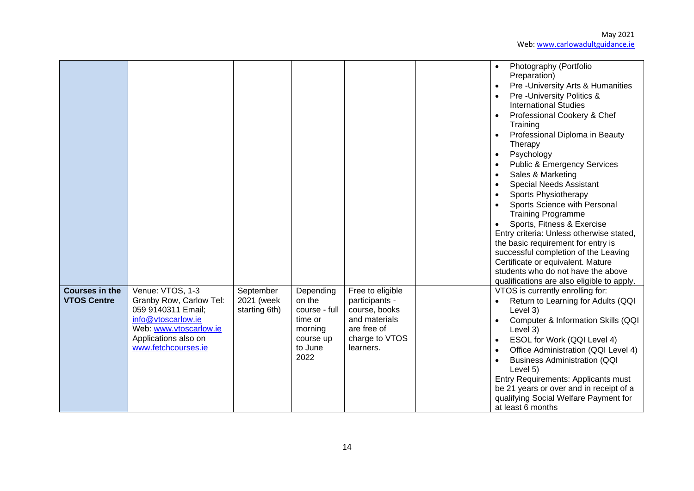|                                             |                                                                                                                                                                  |                                          |                                                                                            |                                                                                                                    | Photography (Portfolio<br>Preparation)<br>Pre-University Arts & Humanities<br>Pre-University Politics &<br><b>International Studies</b><br>Professional Cookery & Chef<br>Training<br>Professional Diploma in Beauty<br>Therapy<br>Psychology<br>$\bullet$<br><b>Public &amp; Emergency Services</b><br>Sales & Marketing<br><b>Special Needs Assistant</b><br>Sports Physiotherapy<br>Sports Science with Personal<br><b>Training Programme</b><br>Sports, Fitness & Exercise<br>Entry criteria: Unless otherwise stated,<br>the basic requirement for entry is<br>successful completion of the Leaving<br>Certificate or equivalent. Mature<br>students who do not have the above<br>qualifications are also eligible to apply. |
|---------------------------------------------|------------------------------------------------------------------------------------------------------------------------------------------------------------------|------------------------------------------|--------------------------------------------------------------------------------------------|--------------------------------------------------------------------------------------------------------------------|-----------------------------------------------------------------------------------------------------------------------------------------------------------------------------------------------------------------------------------------------------------------------------------------------------------------------------------------------------------------------------------------------------------------------------------------------------------------------------------------------------------------------------------------------------------------------------------------------------------------------------------------------------------------------------------------------------------------------------------|
| <b>Courses in the</b><br><b>VTOS Centre</b> | Venue: VTOS, 1-3<br>Granby Row, Carlow Tel:<br>059 9140311 Email:<br>info@vtoscarlow.ie<br>Web: www.vtoscarlow.ie<br>Applications also on<br>www.fetchcourses.ie | September<br>2021 (week<br>starting 6th) | Depending<br>on the<br>course - full<br>time or<br>morning<br>course up<br>to June<br>2022 | Free to eligible<br>participants -<br>course, books<br>and materials<br>are free of<br>charge to VTOS<br>learners. | VTOS is currently enrolling for:<br>Return to Learning for Adults (QQI<br>Level 3)<br>Computer & Information Skills (QQI<br>$\bullet$<br>Level 3)<br>ESOL for Work (QQI Level 4)<br>Office Administration (QQI Level 4)<br><b>Business Administration (QQI</b><br>Level 5)<br>Entry Requirements: Applicants must<br>be 21 years or over and in receipt of a<br>qualifying Social Welfare Payment for<br>at least 6 months                                                                                                                                                                                                                                                                                                        |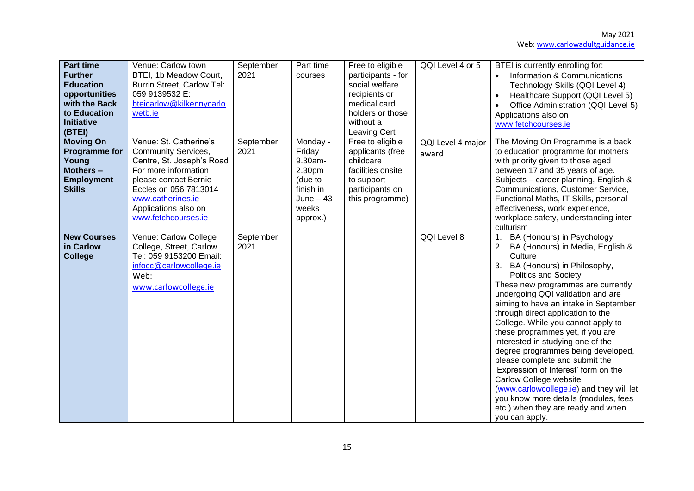| <b>Part time</b><br><b>Further</b><br><b>Education</b><br>opportunities<br>with the Back<br>to Education<br><b>Initiative</b><br>(BTEI) | Venue: Carlow town<br>BTEI, 1b Meadow Court,<br><b>Burrin Street, Carlow Tel:</b><br>059 9139532 E:<br>bteicarlow@kilkennycarlo<br>wetb.ie                                                                                      | September<br>2021 | Part time<br>courses                                                                               | Free to eligible<br>participants - for<br>social welfare<br>recipients or<br>medical card<br>holders or those<br>without a<br>Leaving Cert | QQI Level 4 or 5           | BTEI is currently enrolling for:<br>Information & Communications<br>$\bullet$<br>Technology Skills (QQI Level 4)<br>Healthcare Support (QQI Level 5)<br>$\bullet$<br>Office Administration (QQI Level 5)<br>$\bullet$<br>Applications also on<br>www.fetchcourses.ie                                                                                                                                                                                                                                                                                                                                                                                                                                           |
|-----------------------------------------------------------------------------------------------------------------------------------------|---------------------------------------------------------------------------------------------------------------------------------------------------------------------------------------------------------------------------------|-------------------|----------------------------------------------------------------------------------------------------|--------------------------------------------------------------------------------------------------------------------------------------------|----------------------------|----------------------------------------------------------------------------------------------------------------------------------------------------------------------------------------------------------------------------------------------------------------------------------------------------------------------------------------------------------------------------------------------------------------------------------------------------------------------------------------------------------------------------------------------------------------------------------------------------------------------------------------------------------------------------------------------------------------|
| <b>Moving On</b><br><b>Programme for</b><br>Young<br>Mothers -<br><b>Employment</b><br><b>Skills</b>                                    | Venue: St. Catherine's<br><b>Community Services,</b><br>Centre, St. Joseph's Road<br>For more information<br>please contact Bernie<br>Eccles on 056 7813014<br>www.catherines.ie<br>Applications also on<br>www.fetchcourses.ie | September<br>2021 | Monday -<br>Friday<br>9.30am-<br>2.30pm<br>(due to<br>finish in<br>June $-43$<br>weeks<br>approx.) | Free to eligible<br>applicants (free<br>childcare<br>facilities onsite<br>to support<br>participants on<br>this programme)                 | QQI Level 4 major<br>award | The Moving On Programme is a back<br>to education programme for mothers<br>with priority given to those aged<br>between 17 and 35 years of age.<br>Subjects - career planning, English &<br>Communications, Customer Service,<br>Functional Maths, IT Skills, personal<br>effectiveness, work experience,<br>workplace safety, understanding inter-<br>culturism                                                                                                                                                                                                                                                                                                                                               |
| <b>New Courses</b><br>in Carlow<br><b>College</b>                                                                                       | Venue: Carlow College<br>College, Street, Carlow<br>Tel: 059 9153200 Email:<br>infocc@carlowcollege.ie<br>Web:<br>www.carlowcollege.ie                                                                                          | September<br>2021 |                                                                                                    |                                                                                                                                            | QQI Level 8                | BA (Honours) in Psychology<br>1.<br>BA (Honours) in Media, English &<br>Culture<br>3. BA (Honours) in Philosophy,<br><b>Politics and Society</b><br>These new programmes are currently<br>undergoing QQI validation and are<br>aiming to have an intake in September<br>through direct application to the<br>College. While you cannot apply to<br>these programmes yet, if you are<br>interested in studying one of the<br>degree programmes being developed,<br>please complete and submit the<br>'Expression of Interest' form on the<br>Carlow College website<br>(www.carlowcollege.ie) and they will let<br>you know more details (modules, fees<br>etc.) when they are ready and when<br>you can apply. |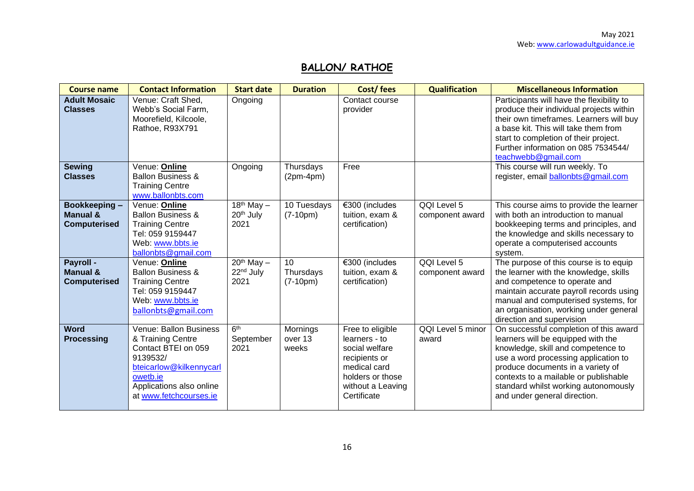# **BALLON/ RATHOE**

| <b>Course name</b>                                         | <b>Contact Information</b>                                                                                                                                                  | <b>Start date</b>                                        | <b>Duration</b>                            | Cost/fees                                                                                                                                    | <b>Qualification</b>           | <b>Miscellaneous Information</b>                                                                                                                                                                                                                                                                                 |
|------------------------------------------------------------|-----------------------------------------------------------------------------------------------------------------------------------------------------------------------------|----------------------------------------------------------|--------------------------------------------|----------------------------------------------------------------------------------------------------------------------------------------------|--------------------------------|------------------------------------------------------------------------------------------------------------------------------------------------------------------------------------------------------------------------------------------------------------------------------------------------------------------|
| <b>Adult Mosaic</b><br><b>Classes</b>                      | Venue: Craft Shed,<br>Webb's Social Farm,<br>Moorefield, Kilcoole,<br>Rathoe, R93X791                                                                                       | Ongoing                                                  |                                            | Contact course<br>provider                                                                                                                   |                                | Participants will have the flexibility to<br>produce their individual projects within<br>their own timeframes. Learners will buy<br>a base kit. This will take them from<br>start to completion of their project.<br>Further information on 085 7534544/<br>teachwebb@gmail.com                                  |
| <b>Sewing</b><br><b>Classes</b>                            | Venue: Online<br><b>Ballon Business &amp;</b><br><b>Training Centre</b><br>www.ballonbts.com                                                                                | Ongoing                                                  | Thursdays<br>$(2pm-4pm)$                   | Free                                                                                                                                         |                                | This course will run weekly. To<br>register, email ballonbts@gmail.com                                                                                                                                                                                                                                           |
| Bookkeeping-<br><b>Manual &amp;</b><br><b>Computerised</b> | Venue: Online<br><b>Ballon Business &amp;</b><br><b>Training Centre</b><br>Tel: 059 9159447<br>Web: www.bbts.ie<br>ballonbts@gmail.com                                      | $\sqrt{18^{th} M}$ ay –<br>20 <sup>th</sup> July<br>2021 | 10 Tuesdays<br>$(7-10pm)$                  | €300 (includes<br>tuition, exam &<br>certification)                                                                                          | QQI Level 5<br>component award | This course aims to provide the learner<br>with both an introduction to manual<br>bookkeeping terms and principles, and<br>the knowledge and skills necessary to<br>operate a computerised accounts<br>system.                                                                                                   |
| Payroll -<br><b>Manual &amp;</b><br><b>Computerised</b>    | Venue: Online<br><b>Ballon Business &amp;</b><br><b>Training Centre</b><br>Tel: 059 9159447<br>Web: www.bbts.ie<br>ballonbts@gmail.com                                      | $20th$ May $-$<br>22 <sup>nd</sup> July<br>2021          | 10 <sup>1</sup><br>Thursdays<br>$(7-10pm)$ | €300 (includes<br>tuition, exam &<br>certification)                                                                                          | QQI Level 5<br>component award | The purpose of this course is to equip<br>the learner with the knowledge, skills<br>and competence to operate and<br>maintain accurate payroll records using<br>manual and computerised systems, for<br>an organisation, working under general<br>direction and supervision                                      |
| Word<br><b>Processing</b>                                  | Venue: Ballon Business<br>& Training Centre<br>Contact BTEI on 059<br>9139532/<br>bteicarlow@kilkennycarl<br>owetb.ie<br>Applications also online<br>at www.fetchcourses.ie | 6 <sup>th</sup><br>September<br>2021                     | Mornings<br>over 13<br>weeks               | Free to eligible<br>learners - to<br>social welfare<br>recipients or<br>medical card<br>holders or those<br>without a Leaving<br>Certificate | QQI Level 5 minor<br>award     | On successful completion of this award<br>learners will be equipped with the<br>knowledge, skill and competence to<br>use a word processing application to<br>produce documents in a variety of<br>contexts to a mailable or publishable<br>standard whilst working autonomously<br>and under general direction. |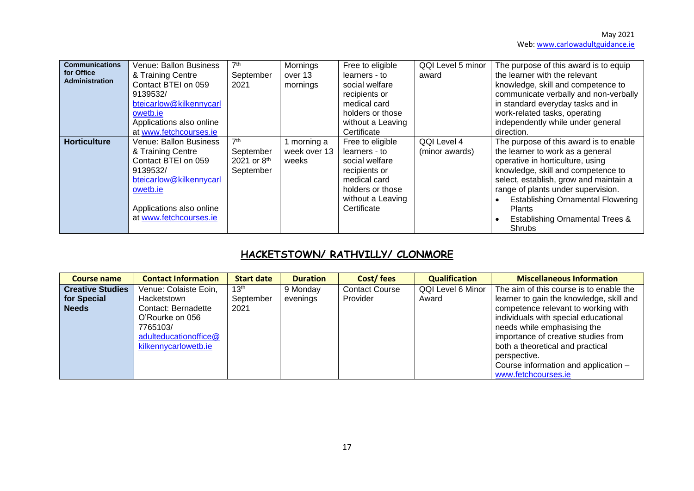| <b>Communications</b><br>for Office<br><b>Administration</b> | Venue: Ballon Business<br>& Training Centre<br>Contact BTEI on 059<br>9139532/<br>bteicarlow@kilkennycarl<br>owetb.ie                                                              | 7 <sup>th</sup><br>September<br>2021                                 | Mornings<br>over 13<br>mornings    | Free to eligible<br>learners - to<br>social welfare<br>recipients or<br>medical card<br>holders or those                                     | QQI Level 5 minor<br>award    | The purpose of this award is to equip<br>the learner with the relevant<br>knowledge, skill and competence to<br>communicate verbally and non-verbally<br>in standard everyday tasks and in<br>work-related tasks, operating                                                                                                                               |
|--------------------------------------------------------------|------------------------------------------------------------------------------------------------------------------------------------------------------------------------------------|----------------------------------------------------------------------|------------------------------------|----------------------------------------------------------------------------------------------------------------------------------------------|-------------------------------|-----------------------------------------------------------------------------------------------------------------------------------------------------------------------------------------------------------------------------------------------------------------------------------------------------------------------------------------------------------|
|                                                              | Applications also online<br>at www.fetchcourses.ie                                                                                                                                 |                                                                      |                                    | without a Leaving<br>Certificate                                                                                                             |                               | independently while under general<br>direction.                                                                                                                                                                                                                                                                                                           |
| <b>Horticulture</b>                                          | <b>Venue: Ballon Business</b><br>& Training Centre<br>Contact BTEI on 059<br>9139532/<br>bteicarlow@kilkennycarl<br>owetb.ie<br>Applications also online<br>at www.fetchcourses.ie | 7 <sup>th</sup><br>September<br>2021 or 8 <sup>th</sup><br>September | morning a<br>week over 13<br>weeks | Free to eligible<br>learners - to<br>social welfare<br>recipients or<br>medical card<br>holders or those<br>without a Leaving<br>Certificate | QQI Level 4<br>(minor awards) | The purpose of this award is to enable<br>the learner to work as a general<br>operative in horticulture, using<br>knowledge, skill and competence to<br>select, establish, grow and maintain a<br>range of plants under supervision.<br><b>Establishing Ornamental Flowering</b><br><b>Plants</b><br><b>Establishing Ornamental Trees &amp;</b><br>Shrubs |

# **HACKETSTOWN/ RATHVILLY/ CLONMORE**

| Course name             | <b>Contact Information</b> | <b>Start date</b> | <b>Duration</b> | Cost/fees             | <b>Qualification</b> | <b>Miscellaneous Information</b>         |
|-------------------------|----------------------------|-------------------|-----------------|-----------------------|----------------------|------------------------------------------|
| <b>Creative Studies</b> | Venue: Colaiste Eoin,      | 13 <sup>th</sup>  | 9 Monday        | <b>Contact Course</b> | QQI Level 6 Minor    | The aim of this course is to enable the  |
| for Special             | Hacketstown                | September         | evenings        | Provider              | Award                | learner to gain the knowledge, skill and |
| <b>Needs</b>            | Contact: Bernadette        | 2021              |                 |                       |                      | competence relevant to working with      |
|                         | O'Rourke on 056            |                   |                 |                       |                      | individuals with special educational     |
|                         | 7765103/                   |                   |                 |                       |                      | needs while emphasising the              |
|                         | adulteducationoffice@      |                   |                 |                       |                      | importance of creative studies from      |
|                         | kilkennycarlowetb.ie       |                   |                 |                       |                      | both a theoretical and practical         |
|                         |                            |                   |                 |                       |                      | perspective.                             |
|                         |                            |                   |                 |                       |                      | Course information and application -     |
|                         |                            |                   |                 |                       |                      | www.fetchcourses.ie                      |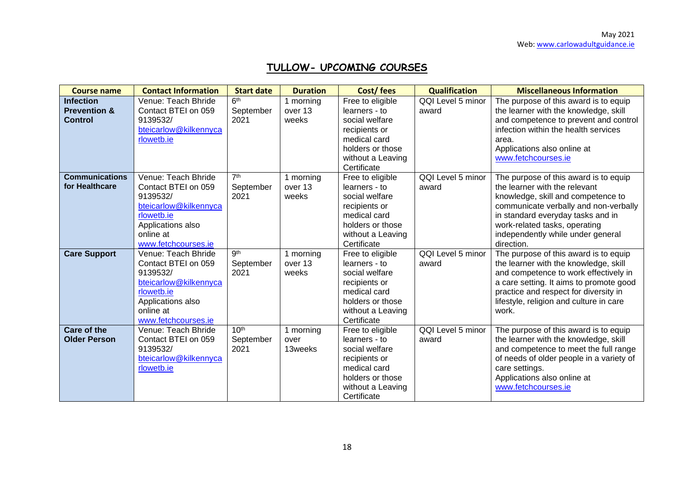# **TULLOW- UPCOMING COURSES**

| <b>Course name</b>                                            | <b>Contact Information</b>                                                                                                                             | <b>Start date</b>                     | <b>Duration</b>               | Cost/fees                                                                                                                                    | <b>Qualification</b>       | <b>Miscellaneous Information</b>                                                                                                                                                                                                                                               |
|---------------------------------------------------------------|--------------------------------------------------------------------------------------------------------------------------------------------------------|---------------------------------------|-------------------------------|----------------------------------------------------------------------------------------------------------------------------------------------|----------------------------|--------------------------------------------------------------------------------------------------------------------------------------------------------------------------------------------------------------------------------------------------------------------------------|
| <b>Infection</b><br><b>Prevention &amp;</b><br><b>Control</b> | Venue: Teach Bhride<br>Contact BTEI on 059<br>9139532/<br>bteicarlow@kilkennyca<br>rlowetb.ie                                                          | 6 <sup>th</sup><br>September<br>2021  | 1 morning<br>over 13<br>weeks | Free to eligible<br>learners - to<br>social welfare<br>recipients or<br>medical card<br>holders or those<br>without a Leaving<br>Certificate | QQI Level 5 minor<br>award | The purpose of this award is to equip<br>the learner with the knowledge, skill<br>and competence to prevent and control<br>infection within the health services<br>area.<br>Applications also online at<br>www.fetchcourses.ie                                                 |
| <b>Communications</b><br>for Healthcare                       | Venue: Teach Bhride<br>Contact BTEI on 059<br>9139532/<br>bteicarlow@kilkennyca<br>rlowetb.ie<br>Applications also<br>online at<br>www.fetchcourses.ie | 7 <sup>th</sup><br>September<br>2021  | 1 morning<br>over 13<br>weeks | Free to eligible<br>learners - to<br>social welfare<br>recipients or<br>medical card<br>holders or those<br>without a Leaving<br>Certificate | QQI Level 5 minor<br>award | The purpose of this award is to equip<br>the learner with the relevant<br>knowledge, skill and competence to<br>communicate verbally and non-verbally<br>in standard everyday tasks and in<br>work-related tasks, operating<br>independently while under general<br>direction. |
| <b>Care Support</b>                                           | Venue: Teach Bhride<br>Contact BTEI on 059<br>9139532/<br>bteicarlow@kilkennyca<br>rlowetb.ie<br>Applications also<br>online at<br>www.fetchcourses.ie | gth<br>September<br>2021              | 1 morning<br>over 13<br>weeks | Free to eligible<br>learners - to<br>social welfare<br>recipients or<br>medical card<br>holders or those<br>without a Leaving<br>Certificate | QQI Level 5 minor<br>award | The purpose of this award is to equip<br>the learner with the knowledge, skill<br>and competence to work effectively in<br>a care setting. It aims to promote good<br>practice and respect for diversity in<br>lifestyle, religion and culture in care<br>work.                |
| <b>Care of the</b><br><b>Older Person</b>                     | Venue: Teach Bhride<br>Contact BTEI on 059<br>9139532/<br>bteicarlow@kilkennyca<br>rlowetb.ie                                                          | 10 <sup>th</sup><br>September<br>2021 | 1 morning<br>over<br>13weeks  | Free to eligible<br>learners - to<br>social welfare<br>recipients or<br>medical card<br>holders or those<br>without a Leaving<br>Certificate | QQI Level 5 minor<br>award | The purpose of this award is to equip<br>the learner with the knowledge, skill<br>and competence to meet the full range<br>of needs of older people in a variety of<br>care settings.<br>Applications also online at<br>www.fetchcourses.ie                                    |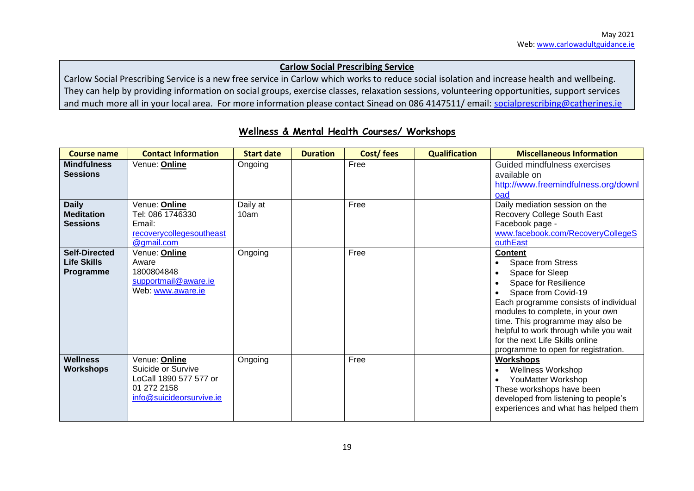#### **Carlow Social Prescribing Service**

Carlow Social Prescribing Service is a new free service in Carlow which works to reduce social isolation and increase health and wellbeing. They can help by providing information on social groups, exercise classes, relaxation sessions, volunteering opportunities, support services and much more all in your local area. For more information please contact Sinead on 086 4147511/ email: [socialprescribing@catherines.ie](mailto:socialprescribing@catherines.ie)

| <b>Course name</b>                                      | <b>Contact Information</b>                                                                               | <b>Start date</b> | <b>Duration</b> | Cost/fees | <b>Qualification</b> | <b>Miscellaneous Information</b>                                                                                                                                                                                                                                                                                                           |
|---------------------------------------------------------|----------------------------------------------------------------------------------------------------------|-------------------|-----------------|-----------|----------------------|--------------------------------------------------------------------------------------------------------------------------------------------------------------------------------------------------------------------------------------------------------------------------------------------------------------------------------------------|
| <b>Mindfulness</b><br><b>Sessions</b>                   | Venue: Online                                                                                            | Ongoing           |                 | Free      |                      | Guided mindfulness exercises<br>available on<br>http://www.freemindfulness.org/downl<br>oad                                                                                                                                                                                                                                                |
| <b>Daily</b><br><b>Meditation</b><br><b>Sessions</b>    | Venue: <b>Online</b><br>Tel: 086 1746330<br>Email:<br>recoverycollegesoutheast<br>@gmail.com             | Daily at<br>10am  |                 | Free      |                      | Daily mediation session on the<br>Recovery College South East<br>Facebook page -<br>www.facebook.com/RecoveryCollegeS<br>outhEast                                                                                                                                                                                                          |
| <b>Self-Directed</b><br><b>Life Skills</b><br>Programme | Venue: <b>Online</b><br>Aware<br>1800804848<br>supportmail@aware.ie<br>Web: www.aware.ie                 | Ongoing           |                 | Free      |                      | <b>Content</b><br>Space from Stress<br>Space for Sleep<br>Space for Resilience<br>Space from Covid-19<br>Each programme consists of individual<br>modules to complete, in your own<br>time. This programme may also be<br>helpful to work through while you wait<br>for the next Life Skills online<br>programme to open for registration. |
| <b>Wellness</b><br><b>Workshops</b>                     | Venue: Online<br>Suicide or Survive<br>LoCall 1890 577 577 or<br>01 272 2158<br>info@suicideorsurvive.ie | Ongoing           |                 | Free      |                      | <b>Workshops</b><br><b>Wellness Workshop</b><br>YouMatter Workshop<br>These workshops have been<br>developed from listening to people's<br>experiences and what has helped them                                                                                                                                                            |

## **Wellness & Mental Health Courses/ Workshops**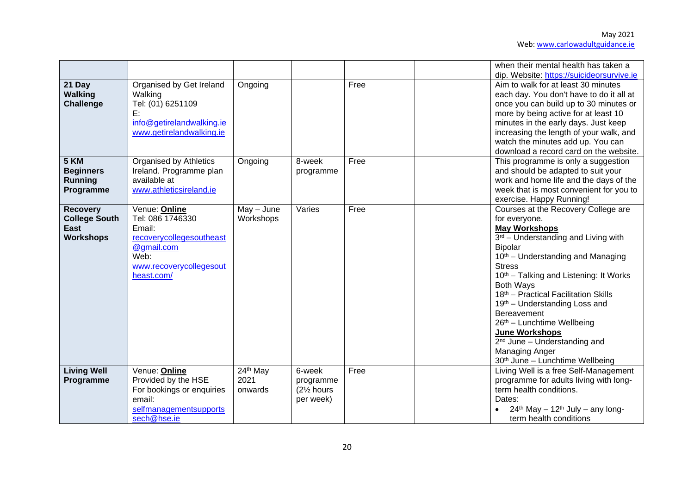|                                                                            |                                                                                                                                        |                                         |                                                             |      | when their mental health has taken a<br>dip. Website: https://suicideorsurvive.ie                                                                                                                                                                                                                                                                                                                                                                                                                                          |
|----------------------------------------------------------------------------|----------------------------------------------------------------------------------------------------------------------------------------|-----------------------------------------|-------------------------------------------------------------|------|----------------------------------------------------------------------------------------------------------------------------------------------------------------------------------------------------------------------------------------------------------------------------------------------------------------------------------------------------------------------------------------------------------------------------------------------------------------------------------------------------------------------------|
| 21 Day<br><b>Walking</b><br><b>Challenge</b>                               | Organised by Get Ireland<br>Walking<br>Tel: (01) 6251109<br>E:<br>info@getirelandwalking.ie<br>www.getirelandwalking.ie                | Ongoing                                 |                                                             | Free | Aim to walk for at least 30 minutes<br>each day. You don't have to do it all at<br>once you can build up to 30 minutes or<br>more by being active for at least 10<br>minutes in the early days. Just keep<br>increasing the length of your walk, and<br>watch the minutes add up. You can<br>download a record card on the website.                                                                                                                                                                                        |
| 5 KM<br><b>Beginners</b><br><b>Running</b><br>Programme                    | Organised by Athletics<br>Ireland. Programme plan<br>available at<br>www.athleticsireland.ie                                           | Ongoing                                 | 8-week<br>programme                                         | Free | This programme is only a suggestion<br>and should be adapted to suit your<br>work and home life and the days of the<br>week that is most convenient for you to<br>exercise. Happy Running!                                                                                                                                                                                                                                                                                                                                 |
| <b>Recovery</b><br><b>College South</b><br><b>East</b><br><b>Workshops</b> | Venue: Online<br>Tel: 086 1746330<br>Email:<br>recoverycollegesoutheast<br>@gmail.com<br>Web:<br>www.recoverycollegesout<br>heast.com/ | $May - June$<br>Workshops               | Varies                                                      | Free | Courses at the Recovery College are<br>for everyone.<br><b>May Workshops</b><br>3rd - Understanding and Living with<br>Bipolar<br>10 <sup>th</sup> – Understanding and Managing<br><b>Stress</b><br>10 <sup>th</sup> – Talking and Listening: It Works<br><b>Both Ways</b><br>18th - Practical Facilitation Skills<br>19th - Understanding Loss and<br>Bereavement<br>26th - Lunchtime Wellbeing<br><b>June Workshops</b><br>2 <sup>nd</sup> June - Understanding and<br>Managing Anger<br>30th June - Lunchtime Wellbeing |
| <b>Living Well</b><br>Programme                                            | Venue: Online<br>Provided by the $HSE$<br>For bookings or enquiries<br>email:<br>selfmanagementsupports<br>sech@hse.ie                 | 24 <sup>th</sup> May<br>2021<br>onwards | 6-week<br>programme<br>(21/ <sub>2</sub> hours<br>per week) | Free | Living Well is a free Self-Management<br>programme for adults living with long-<br>term health conditions.<br>Dates:<br>$24th$ May - 12 <sup>th</sup> July - any long-<br>term health conditions                                                                                                                                                                                                                                                                                                                           |